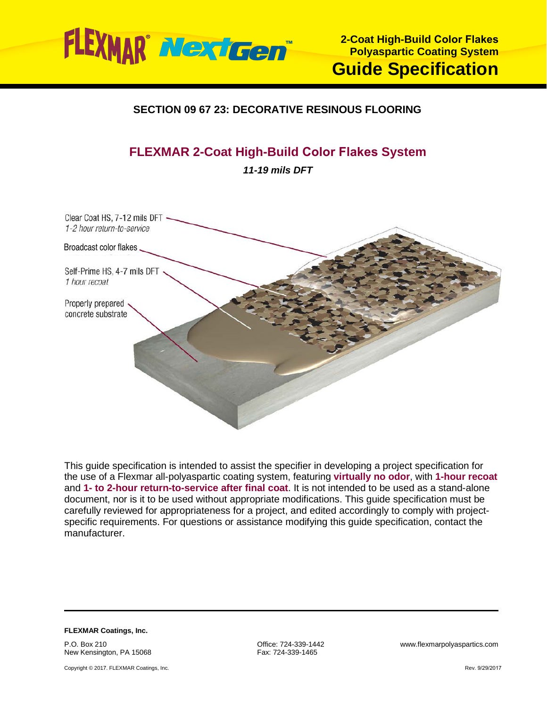

## **SECTION 09 67 23: DECORATIVE RESINOUS FLOORING**

# **FLEXMAR 2-Coat High-Build Color Flakes System**

*11-19 mils DFT*



This guide specification is intended to assist the specifier in developing a project specification for the use of a Flexmar all-polyaspartic coating system, featuring **virtually no odor**, with **1-hour recoat** and **1- to 2-hour return-to-service after final coat**. It is not intended to be used as a stand-alone document, nor is it to be used without appropriate modifications. This guide specification must be carefully reviewed for appropriateness for a project, and edited accordingly to comply with projectspecific requirements. For questions or assistance modifying this guide specification, contact the manufacturer.

**FLEXMAR Coatings, Inc.** P.O. Box 210

New Kensington, PA 15068

Copyright © 2017. FLEXMAR Coatings, Inc.

Fax: 724-339-1465

Office: 724-339-1442 www.flexmarpolyaspartics.com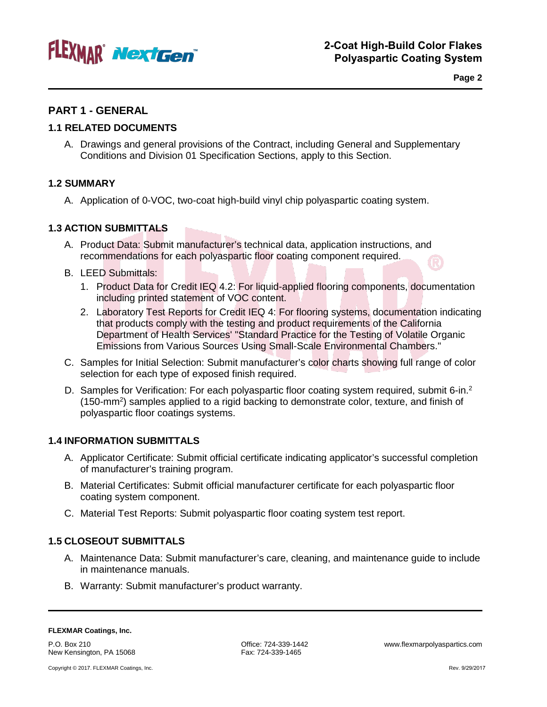

**Page 2**

### **PART 1 - GENERAL**

#### **1.1 RELATED DOCUMENTS**

A. Drawings and general provisions of the Contract, including General and Supplementary Conditions and Division 01 Specification Sections, apply to this Section.

#### **1.2 SUMMARY**

A. Application of 0-VOC, two-coat high-build vinyl chip polyaspartic coating system.

#### **1.3 ACTION SUBMITTALS**

- A. Product Data: Submit manufacturer's technical data, application instructions, and recommendations for each polyaspartic floor coating component required.
- B. LEED Submittals:
	- 1. Product Data for Credit IEQ 4.2: For liquid-applied flooring components, documentation including printed statement of VOC content.
	- 2. Laboratory Test Reports for Credit IEQ 4: For flooring systems, documentation indicating that products comply with the testing and product requirements of the California Department of Health Services' "Standard Practice for the Testing of Volatile Organic Emissions from Various Sources Using Small-Scale Environmental Chambers."
- C. Samples for Initial Selection: Submit manufacturer's color charts showing full range of color selection for each type of exposed finish required.
- D. Samples for Verification: For each polyaspartic floor coating system required, submit 6-in.<sup>2</sup> (150-mm<sup>2</sup>) samples applied to a rigid backing to demonstrate color, texture, and finish of polyaspartic floor coatings systems.

#### **1.4 INFORMATION SUBMITTALS**

- A. Applicator Certificate: Submit official certificate indicating applicator's successful completion of manufacturer's training program.
- B. Material Certificates: Submit official manufacturer certificate for each polyaspartic floor coating system component.
- C. Material Test Reports: Submit polyaspartic floor coating system test report.

#### **1.5 CLOSEOUT SUBMITTALS**

- A. Maintenance Data: Submit manufacturer's care, cleaning, and maintenance guide to include in maintenance manuals.
- B. Warranty: Submit manufacturer's product warranty.

P.O. Box 210 New Kensington, PA 15068 Fax: 724-339-1465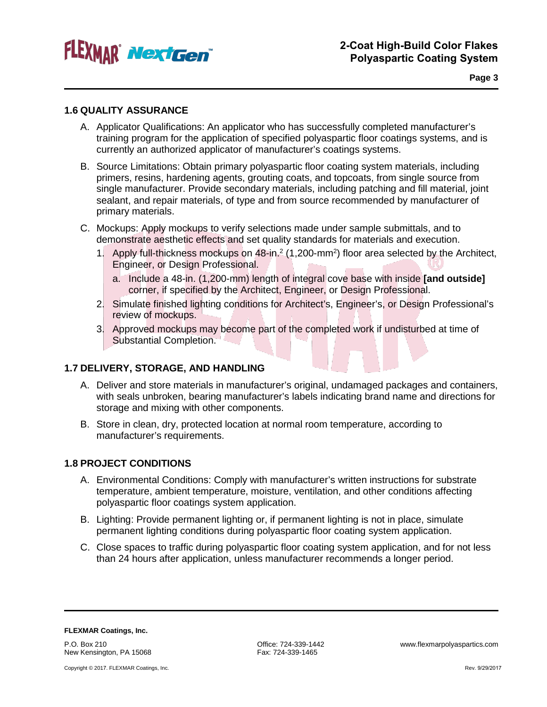

**Page 3**

#### **1.6 QUALITY ASSURANCE**

- A. Applicator Qualifications: An applicator who has successfully completed manufacturer's training program for the application of specified polyaspartic floor coatings systems, and is currently an authorized applicator of manufacturer's coatings systems.
- B. Source Limitations: Obtain primary polyaspartic floor coating system materials, including primers, resins, hardening agents, grouting coats, and topcoats, from single source from single manufacturer. Provide secondary materials, including patching and fill material, joint sealant, and repair materials, of type and from source recommended by manufacturer of primary materials.
- C. Mockups: Apply mockups to verify selections made under sample submittals, and to demonstrate aesthetic effects and set quality standards for materials and execution.
	- 1. Apply full-thickness mockups on 48-in.<sup>2</sup> (1,200-mm<sup>2</sup>) floor area selected by the Architect, Engineer, or Design Professional.
		- a. Include a 48-in. (1,200-mm) length of integral cove base with inside **[and outside]** corner, if specified by the Architect, Engineer, or Design Professional.
	- 2. Simulate finished lighting conditions for Architect's, Engineer's, or Design Professional's review of mockups.
	- 3. Approved mockups may become part of the completed work if undisturbed at time of Substantial Completion.

### **1.7 DELIVERY, STORAGE, AND HANDLING**

- A. Deliver and store materials in manufacturer's original, undamaged packages and containers, with seals unbroken, bearing manufacturer's labels indicating brand name and directions for storage and mixing with other components.
- B. Store in clean, dry, protected location at normal room temperature, according to manufacturer's requirements.

#### **1.8 PROJECT CONDITIONS**

- A. Environmental Conditions: Comply with manufacturer's written instructions for substrate temperature, ambient temperature, moisture, ventilation, and other conditions affecting polyaspartic floor coatings system application.
- B. Lighting: Provide permanent lighting or, if permanent lighting is not in place, simulate permanent lighting conditions during polyaspartic floor coating system application.
- C. Close spaces to traffic during polyaspartic floor coating system application, and for not less than 24 hours after application, unless manufacturer recommends a longer period.

**FLEXMAR Coatings, Inc.** P.O. Box 210 New Kensington, PA 15068

Fax: 724-339-1465

Office: 724-339-1442 www.flexmarpolyaspartics.com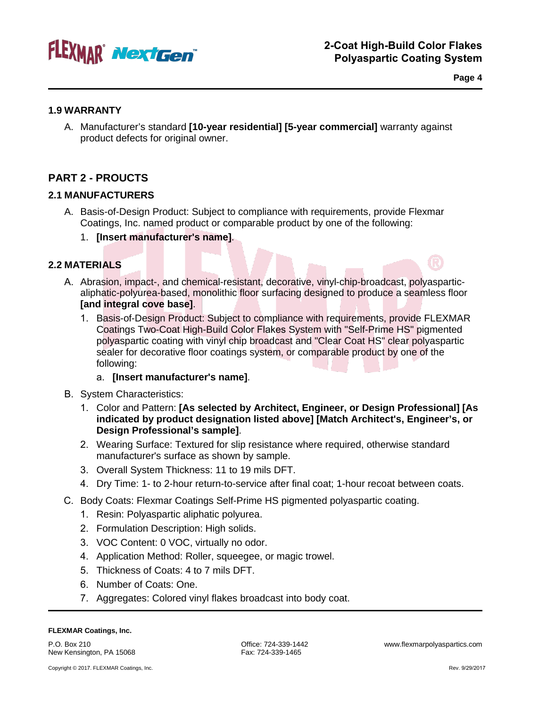

**Page 4**

#### **1.9 WARRANTY**

A. Manufacturer's standard **[10-year residential] [5-year commercial]** warranty against product defects for original owner.

### **PART 2 - PROUCTS**

### **2.1 MANUFACTURERS**

- A. Basis-of-Design Product: Subject to compliance with requirements, provide Flexmar Coatings, Inc. named product or comparable product by one of the following:
	- 1. **[Insert manufacturer's name]**.

### **2.2 MATERIALS**

- A. Abrasion, impact-, and chemical-resistant, decorative, vinyl-chip-broadcast, polyasparticaliphatic-polyurea-based, monolithic floor surfacing designed to produce a seamless floor **[and integral cove base]**.
	- 1. Basis-of-Design Product: Subject to compliance with requirements, provide FLEXMAR Coatings Two-Coat High-Build Color Flakes System with "Self-Prime HS" pigmented polyaspartic coating with vinyl chip broadcast and "Clear Coat HS" clear polyaspartic sealer for decorative floor coatings system, or comparable product by one of the following:

#### a. **[Insert manufacturer's name]**.

- B. System Characteristics:
	- 1. Color and Pattern: **[As selected by Architect, Engineer, or Design Professional] [As indicated by product designation listed above] [Match Architect's, Engineer's, or Design Professional's sample]**.
	- 2. Wearing Surface: Textured for slip resistance where required, otherwise standard manufacturer's surface as shown by sample.
	- 3. Overall System Thickness: 11 to 19 mils DFT.
	- 4. Dry Time: 1- to 2-hour return-to-service after final coat; 1-hour recoat between coats.
- C. Body Coats: Flexmar Coatings Self-Prime HS pigmented polyaspartic coating.
	- 1. Resin: Polyaspartic aliphatic polyurea.
	- 2. Formulation Description: High solids.
	- 3. VOC Content: 0 VOC, virtually no odor.
	- 4. Application Method: Roller, squeegee, or magic trowel.
	- 5. Thickness of Coats: 4 to 7 mils DFT.
	- 6. Number of Coats: One.
	- 7. Aggregates: Colored vinyl flakes broadcast into body coat.

#### **FLEXMAR Coatings, Inc.**

P.O. Box 210 New Kensington, PA 15068 Office: 724-339-1442 www.flexmarpolyaspartics.com Fax: 724-339-1465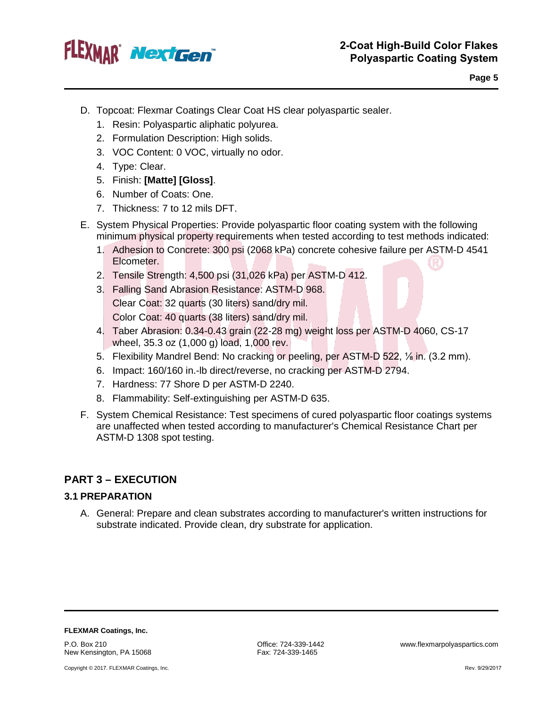

- D. Topcoat: Flexmar Coatings Clear Coat HS clear polyaspartic sealer.
	- 1. Resin: Polyaspartic aliphatic polyurea.
	- 2. Formulation Description: High solids.
	- 3. VOC Content: 0 VOC, virtually no odor.
	- 4. Type: Clear.
	- 5. Finish: **[Matte] [Gloss]**.
	- 6. Number of Coats: One.
	- 7. Thickness: 7 to 12 mils DFT.
- E. System Physical Properties: Provide polyaspartic floor coating system with the following minimum physical property requirements when tested according to test methods indicated:
	- 1. Adhesion to Concrete: 300 psi (2068 kPa) concrete cohesive failure per ASTM-D 4541 Elcometer.
	- 2. Tensile Strength: 4,500 psi (31,026 kPa) per ASTM-D 412.
	- 3. Falling Sand Abrasion Resistance: ASTM-D 968. Clear Coat: 32 quarts (30 liters) sand/dry mil. Color Coat: 40 quarts (38 liters) sand/dry mil.
	- 4. Taber Abrasion: 0.34-0.43 grain (22-28 mg) weight loss per ASTM-D 4060, CS-17 wheel, 35.3 oz (1,000 g) load, 1,000 rev.
	- 5. Flexibility Mandrel Bend: No cracking or peeling, per ASTM-D 522, ⅛ in. (3.2 mm).
	- 6. Impact: 160/160 in.-lb direct/reverse, no cracking per ASTM-D 2794.
	- 7. Hardness: 77 Shore D per ASTM-D 2240.
	- 8. Flammability: Self-extinguishing per ASTM-D 635.
- F. System Chemical Resistance: Test specimens of cured polyaspartic floor coatings systems are unaffected when tested according to manufacturer's Chemical Resistance Chart per ASTM-D 1308 spot testing.

### **PART 3 – EXECUTION**

#### **3.1 PREPARATION**

A. General: Prepare and clean substrates according to manufacturer's written instructions for substrate indicated. Provide clean, dry substrate for application.

**FLEXMAR Coatings, Inc.**

P.O. Box 210 New Kensington, PA 15068

Copyright © 2017. FLEXMAR Coatings, Inc.

Fax: 724-339-1465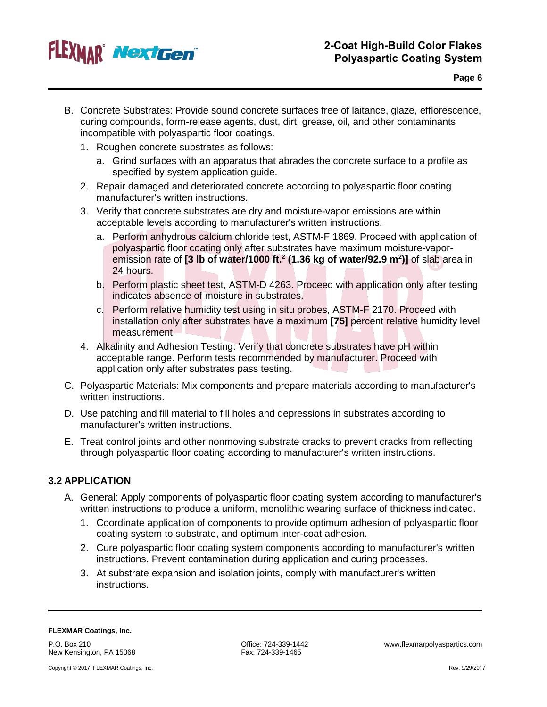

- B. Concrete Substrates: Provide sound concrete surfaces free of laitance, glaze, efflorescence, curing compounds, form-release agents, dust, dirt, grease, oil, and other contaminants incompatible with polyaspartic floor coatings.
	- 1. Roughen concrete substrates as follows:
		- a. Grind surfaces with an apparatus that abrades the concrete surface to a profile as specified by system application guide.
	- 2. Repair damaged and deteriorated concrete according to polyaspartic floor coating manufacturer's written instructions.
	- 3. Verify that concrete substrates are dry and moisture-vapor emissions are within acceptable levels according to manufacturer's written instructions.
		- a. Perform anhydrous calcium chloride test, ASTM-F 1869. Proceed with application of polyaspartic floor coating only after substrates have maximum moisture-vaporemission rate of **[3 lb of water/1000 ft.2 (1.36 kg of water/92.9 m2 )]** of slab area in 24 hours.
		- b. Perform plastic sheet test, ASTM-D 4263. Proceed with application only after testing indicates absence of moisture in substrates.
		- c. Perform relative humidity test using in situ probes, ASTM-F 2170. Proceed with installation only after substrates have a maximum **[75]** percent relative humidity level measurement.
	- 4. Alkalinity and Adhesion Testing: Verify that concrete substrates have pH within acceptable range. Perform tests recommended by manufacturer. Proceed with application only after substrates pass testing.
- C. Polyaspartic Materials: Mix components and prepare materials according to manufacturer's written instructions.
- D. Use patching and fill material to fill holes and depressions in substrates according to manufacturer's written instructions.
- E. Treat control joints and other nonmoving substrate cracks to prevent cracks from reflecting through polyaspartic floor coating according to manufacturer's written instructions.

### **3.2 APPLICATION**

- A. General: Apply components of polyaspartic floor coating system according to manufacturer's written instructions to produce a uniform, monolithic wearing surface of thickness indicated.
	- 1. Coordinate application of components to provide optimum adhesion of polyaspartic floor coating system to substrate, and optimum inter-coat adhesion.
	- 2. Cure polyaspartic floor coating system components according to manufacturer's written instructions. Prevent contamination during application and curing processes.
	- 3. At substrate expansion and isolation joints, comply with manufacturer's written instructions.

P.O. Box 210 New Kensington, PA 15068